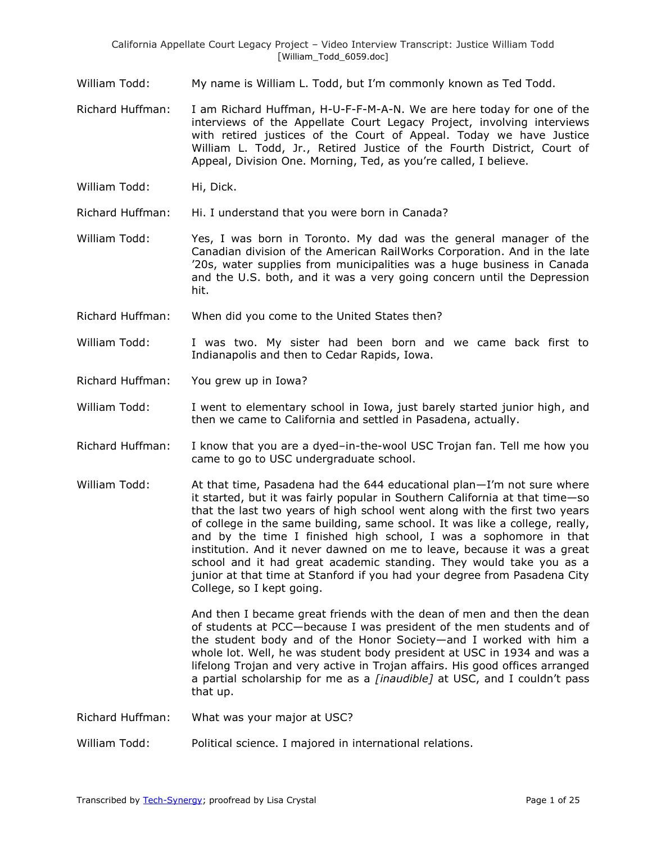- William Todd: My name is William L. Todd, but I'm commonly known as Ted Todd.
- Richard Huffman: I am Richard Huffman, H-U-F-F-M-A-N. We are here today for one of the interviews of the Appellate Court Legacy Project, involving interviews with retired justices of the Court of Appeal. Today we have Justice William L. Todd, Jr., Retired Justice of the Fourth District, Court of Appeal, Division One. Morning, Ted, as you're called, I believe.
- William Todd: Hi, Dick.
- Richard Huffman: Hi. I understand that you were born in Canada?
- William Todd: Yes, I was born in Toronto. My dad was the general manager of the Canadian division of the American RailWorks Corporation. And in the late '20s, water supplies from municipalities was a huge business in Canada and the U.S. both, and it was a very going concern until the Depression hit.
- Richard Huffman: When did you come to the United States then?
- William Todd: I was two. My sister had been born and we came back first to Indianapolis and then to Cedar Rapids, Iowa.
- Richard Huffman: You grew up in Iowa?
- William Todd: I went to elementary school in Iowa, just barely started junior high, and then we came to California and settled in Pasadena, actually.
- Richard Huffman: I know that you are a dyed–in-the-wool USC Trojan fan. Tell me how you came to go to USC undergraduate school.
- William Todd: At that time, Pasadena had the 644 educational plan–I'm not sure where it started, but it was fairly popular in Southern California at that time—so that the last two years of high school went along with the first two years of college in the same building, same school. It was like a college, really, and by the time I finished high school, I was a sophomore in that institution. And it never dawned on me to leave, because it was a great school and it had great academic standing. They would take you as a junior at that time at Stanford if you had your degree from Pasadena City College, so I kept going.

And then I became great friends with the dean of men and then the dean of students at PCC—because I was president of the men students and of the student body and of the Honor Society—and I worked with him a whole lot. Well, he was student body president at USC in 1934 and was a lifelong Trojan and very active in Trojan affairs. His good offices arranged a partial scholarship for me as a *[inaudible]* at USC, and I couldn't pass that up.

- Richard Huffman: What was your major at USC?
- William Todd: Political science. I majored in international relations.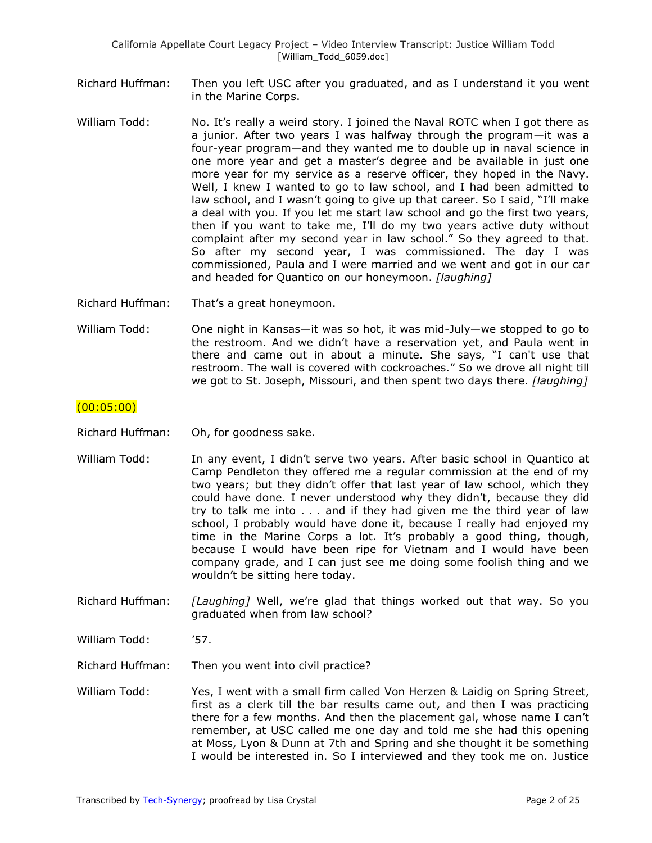- Richard Huffman: Then you left USC after you graduated, and as I understand it you went in the Marine Corps.
- William Todd: No. It's really a weird story. I joined the Naval ROTC when I got there as a junior. After two years I was halfway through the program—it was a four-year program—and they wanted me to double up in naval science in one more year and get a master's degree and be available in just one more year for my service as a reserve officer, they hoped in the Navy. Well, I knew I wanted to go to law school, and I had been admitted to law school, and I wasn't going to give up that career. So I said, "I'll make a deal with you. If you let me start law school and go the first two years, then if you want to take me, I'll do my two years active duty without complaint after my second year in law school." So they agreed to that. So after my second year, I was commissioned. The day I was commissioned, Paula and I were married and we went and got in our car and headed for Quantico on our honeymoon. *[laughing]*

Richard Huffman: That's a great honeymoon.

William Todd: One night in Kansas—it was so hot, it was mid-July—we stopped to go to the restroom. And we didn't have a reservation yet, and Paula went in there and came out in about a minute. She says, "I can't use that restroom. The wall is covered with cockroaches." So we drove all night till we got to St. Joseph, Missouri, and then spent two days there. *[laughing]*

### (00:05:00)

- Richard Huffman: Oh, for goodness sake.
- William Todd: In any event, I didn't serve two years. After basic school in Quantico at Camp Pendleton they offered me a regular commission at the end of my two years; but they didn't offer that last year of law school, which they could have done. I never understood why they didn't, because they did try to talk me into . . . and if they had given me the third year of law school, I probably would have done it, because I really had enjoyed my time in the Marine Corps a lot. It's probably a good thing, though, because I would have been ripe for Vietnam and I would have been company grade, and I can just see me doing some foolish thing and we wouldn't be sitting here today.
- Richard Huffman: *[Laughing]* Well, we're glad that things worked out that way. So you graduated when from law school?
- William Todd: '57.

Richard Huffman: Then you went into civil practice?

William Todd: Yes, I went with a small firm called Von Herzen & Laidig on Spring Street, first as a clerk till the bar results came out, and then I was practicing there for a few months. And then the placement gal, whose name I can't remember, at USC called me one day and told me she had this opening at Moss, Lyon & Dunn at 7th and Spring and she thought it be something I would be interested in. So I interviewed and they took me on. Justice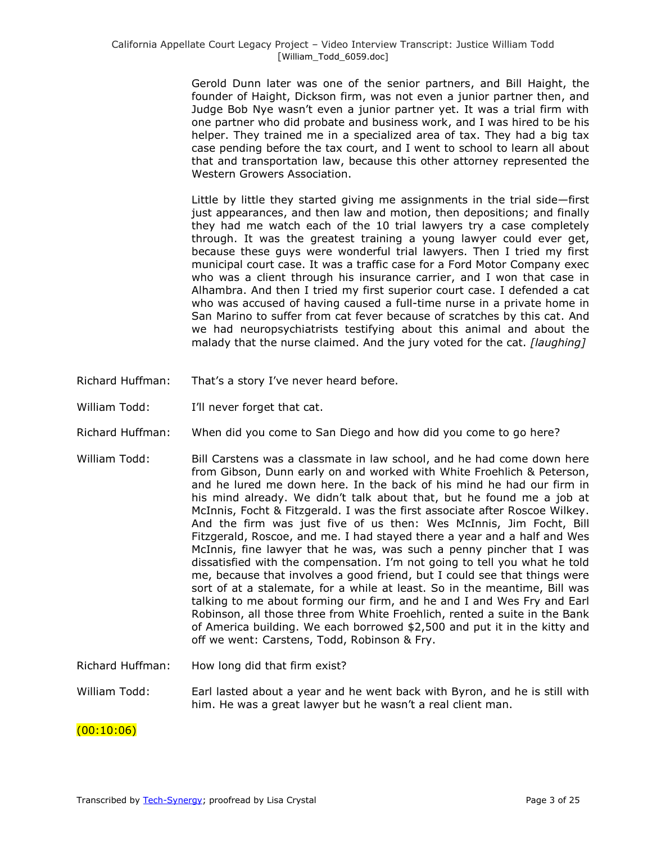Gerold Dunn later was one of the senior partners, and Bill Haight, the founder of Haight, Dickson firm, was not even a junior partner then, and Judge Bob Nye wasn't even a junior partner yet. It was a trial firm with one partner who did probate and business work, and I was hired to be his helper. They trained me in a specialized area of tax. They had a big tax case pending before the tax court, and I went to school to learn all about that and transportation law, because this other attorney represented the Western Growers Association.

Little by little they started giving me assignments in the trial side—first just appearances, and then law and motion, then depositions; and finally they had me watch each of the 10 trial lawyers try a case completely through. It was the greatest training a young lawyer could ever get, because these guys were wonderful trial lawyers. Then I tried my first municipal court case. It was a traffic case for a Ford Motor Company exec who was a client through his insurance carrier, and I won that case in Alhambra. And then I tried my first superior court case. I defended a cat who was accused of having caused a full-time nurse in a private home in San Marino to suffer from cat fever because of scratches by this cat. And we had neuropsychiatrists testifying about this animal and about the malady that the nurse claimed. And the jury voted for the cat. *[laughing]* 

- Richard Huffman: That's a story I've never heard before.
- William Todd: I'll never forget that cat.
- Richard Huffman: When did you come to San Diego and how did you come to go here?
- William Todd: Bill Carstens was a classmate in law school, and he had come down here from Gibson, Dunn early on and worked with White Froehlich & Peterson, and he lured me down here. In the back of his mind he had our firm in his mind already. We didn't talk about that, but he found me a job at McInnis, Focht & Fitzgerald. I was the first associate after Roscoe Wilkey. And the firm was just five of us then: Wes McInnis, Jim Focht, Bill Fitzgerald, Roscoe, and me. I had stayed there a year and a half and Wes McInnis, fine lawyer that he was, was such a penny pincher that I was dissatisfied with the compensation. I'm not going to tell you what he told me, because that involves a good friend, but I could see that things were sort of at a stalemate, for a while at least. So in the meantime, Bill was talking to me about forming our firm, and he and I and Wes Fry and Earl Robinson, all those three from White Froehlich, rented a suite in the Bank of America building. We each borrowed \$2,500 and put it in the kitty and off we went: Carstens, Todd, Robinson & Fry.
- Richard Huffman: How long did that firm exist?
- William Todd: Earl lasted about a year and he went back with Byron, and he is still with him. He was a great lawyer but he wasn't a real client man.

#### $(00:10:06)$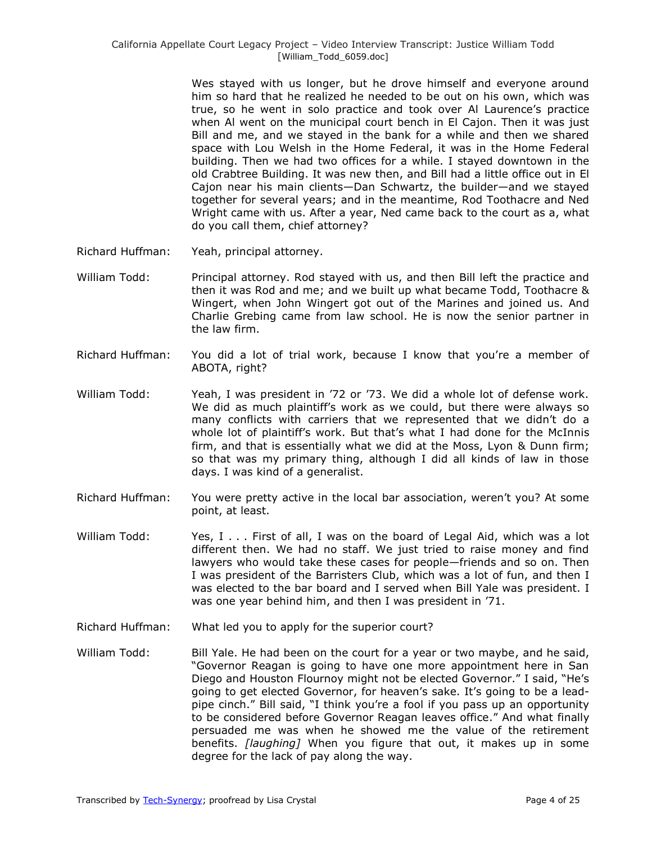Wes stayed with us longer, but he drove himself and everyone around him so hard that he realized he needed to be out on his own, which was true, so he went in solo practice and took over Al Laurence's practice when Al went on the municipal court bench in El Cajon. Then it was just Bill and me, and we stayed in the bank for a while and then we shared space with Lou Welsh in the Home Federal, it was in the Home Federal building. Then we had two offices for a while. I stayed downtown in the old Crabtree Building. It was new then, and Bill had a little office out in El Cajon near his main clients—Dan Schwartz, the builder—and we stayed together for several years; and in the meantime, Rod Toothacre and Ned Wright came with us. After a year, Ned came back to the court as a, what do you call them, chief attorney?

- Richard Huffman: Yeah, principal attorney.
- William Todd: Principal attorney. Rod stayed with us, and then Bill left the practice and then it was Rod and me; and we built up what became Todd, Toothacre & Wingert, when John Wingert got out of the Marines and joined us. And Charlie Grebing came from law school. He is now the senior partner in the law firm.
- Richard Huffman: You did a lot of trial work, because I know that you're a member of ABOTA, right?
- William Todd: Yeah, I was president in '72 or '73. We did a whole lot of defense work. We did as much plaintiff's work as we could, but there were always so many conflicts with carriers that we represented that we didn't do a whole lot of plaintiff's work. But that's what I had done for the McInnis firm, and that is essentially what we did at the Moss, Lyon & Dunn firm; so that was my primary thing, although I did all kinds of law in those days. I was kind of a generalist.
- Richard Huffman: You were pretty active in the local bar association, weren't you? At some point, at least.
- William Todd: Yes, I . . . First of all, I was on the board of Legal Aid, which was a lot different then. We had no staff. We just tried to raise money and find lawyers who would take these cases for people—friends and so on. Then I was president of the Barristers Club, which was a lot of fun, and then I was elected to the bar board and I served when Bill Yale was president. I was one year behind him, and then I was president in '71.
- Richard Huffman: What led you to apply for the superior court?
- William Todd: Bill Yale. He had been on the court for a year or two maybe, and he said, ―Governor Reagan is going to have one more appointment here in San Diego and Houston Flournoy might not be elected Governor." I said, "He's going to get elected Governor, for heaven's sake. It's going to be a leadpipe cinch." Bill said, "I think you're a fool if you pass up an opportunity to be considered before Governor Reagan leaves office." And what finally persuaded me was when he showed me the value of the retirement benefits. *[laughing]* When you figure that out, it makes up in some degree for the lack of pay along the way.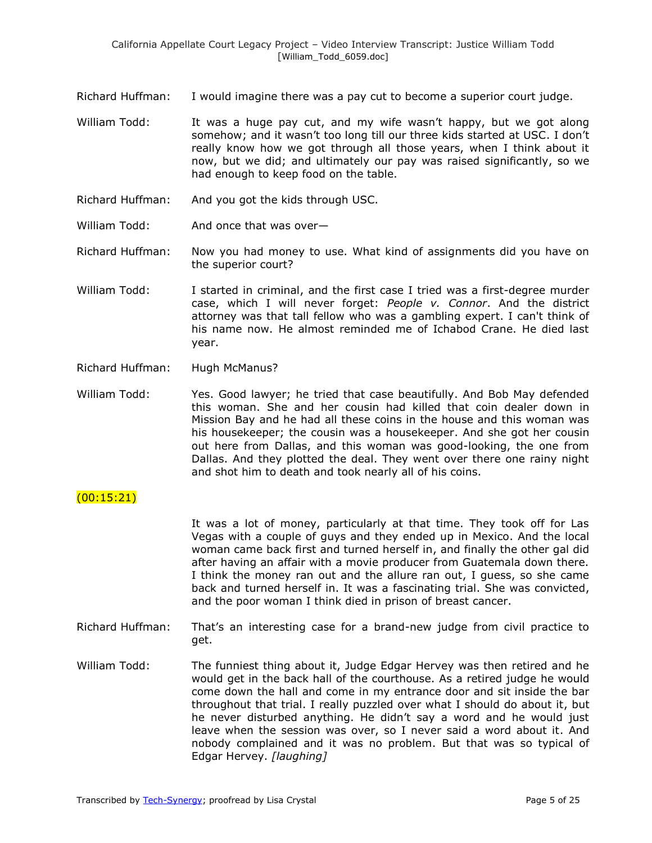- Richard Huffman: I would imagine there was a pay cut to become a superior court judge.
- William Todd: It was a huge pay cut, and my wife wasn't happy, but we got along somehow; and it wasn't too long till our three kids started at USC. I don't really know how we got through all those years, when I think about it now, but we did; and ultimately our pay was raised significantly, so we had enough to keep food on the table.
- Richard Huffman: And you got the kids through USC.
- William Todd: And once that was over-
- Richard Huffman: Now you had money to use. What kind of assignments did you have on the superior court?
- William Todd: I started in criminal, and the first case I tried was a first-degree murder case, which I will never forget: *People v. Connor*. And the district attorney was that tall fellow who was a gambling expert. I can't think of his name now. He almost reminded me of Ichabod Crane. He died last year.
- Richard Huffman: Hugh McManus?
- William Todd: Yes. Good lawyer; he tried that case beautifully. And Bob May defended this woman. She and her cousin had killed that coin dealer down in Mission Bay and he had all these coins in the house and this woman was his housekeeper; the cousin was a housekeeper. And she got her cousin out here from Dallas, and this woman was good-looking, the one from Dallas. And they plotted the deal. They went over there one rainy night and shot him to death and took nearly all of his coins.

## (00:15:21)

It was a lot of money, particularly at that time. They took off for Las Vegas with a couple of guys and they ended up in Mexico. And the local woman came back first and turned herself in, and finally the other gal did after having an affair with a movie producer from Guatemala down there. I think the money ran out and the allure ran out, I guess, so she came back and turned herself in. It was a fascinating trial. She was convicted, and the poor woman I think died in prison of breast cancer.

- Richard Huffman: That's an interesting case for a brand-new judge from civil practice to get.
- William Todd: The funniest thing about it, Judge Edgar Hervey was then retired and he would get in the back hall of the courthouse. As a retired judge he would come down the hall and come in my entrance door and sit inside the bar throughout that trial. I really puzzled over what I should do about it, but he never disturbed anything. He didn't say a word and he would just leave when the session was over, so I never said a word about it. And nobody complained and it was no problem. But that was so typical of Edgar Hervey. *[laughing]*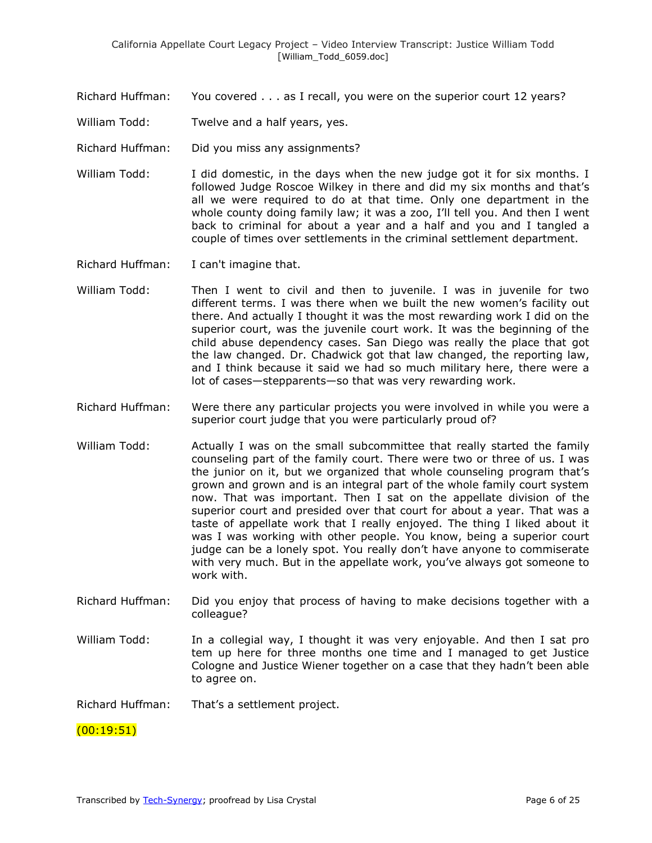Richard Huffman: You covered . . . as I recall, you were on the superior court 12 years?

- William Todd: Twelve and a half years, yes.
- Richard Huffman: Did you miss any assignments?
- William Todd: I did domestic, in the days when the new judge got it for six months. I followed Judge Roscoe Wilkey in there and did my six months and that's all we were required to do at that time. Only one department in the whole county doing family law; it was a zoo, I'll tell you. And then I went back to criminal for about a year and a half and you and I tangled a couple of times over settlements in the criminal settlement department.
- Richard Huffman: I can't imagine that.
- William Todd: Then I went to civil and then to juvenile. I was in juvenile for two different terms. I was there when we built the new women's facility out there. And actually I thought it was the most rewarding work I did on the superior court, was the juvenile court work. It was the beginning of the child abuse dependency cases. San Diego was really the place that got the law changed. Dr. Chadwick got that law changed, the reporting law, and I think because it said we had so much military here, there were a lot of cases—stepparents—so that was very rewarding work.
- Richard Huffman: Were there any particular projects you were involved in while you were a superior court judge that you were particularly proud of?
- William Todd: Actually I was on the small subcommittee that really started the family counseling part of the family court. There were two or three of us. I was the junior on it, but we organized that whole counseling program that's grown and grown and is an integral part of the whole family court system now. That was important. Then I sat on the appellate division of the superior court and presided over that court for about a year. That was a taste of appellate work that I really enjoyed. The thing I liked about it was I was working with other people. You know, being a superior court judge can be a lonely spot. You really don't have anyone to commiserate with very much. But in the appellate work, you've always got someone to work with.
- Richard Huffman: Did you enjoy that process of having to make decisions together with a colleague?
- William Todd: In a collegial way, I thought it was very enjoyable. And then I sat pro tem up here for three months one time and I managed to get Justice Cologne and Justice Wiener together on a case that they hadn't been able to agree on.

Richard Huffman: That's a settlement project.

### (00:19:51)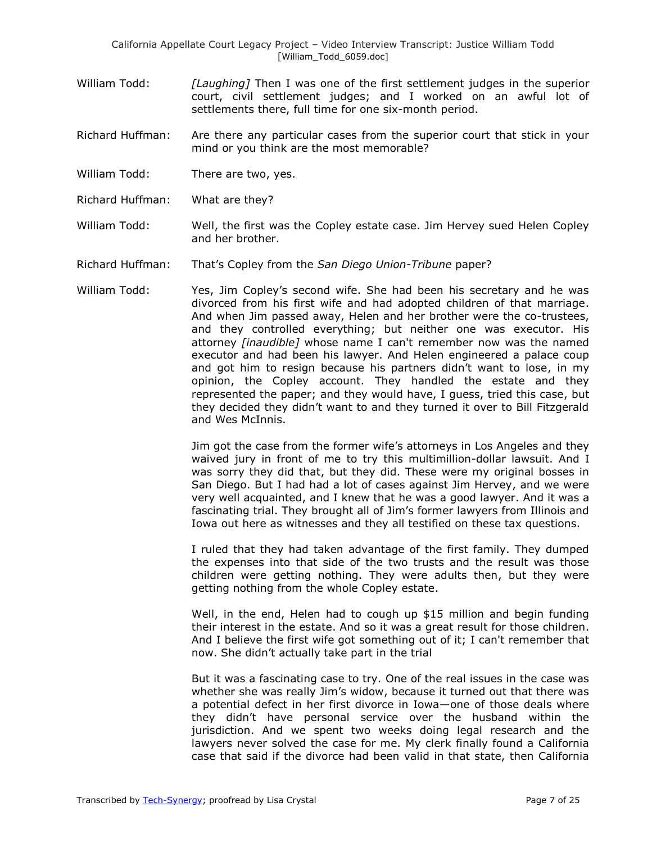- William Todd: *[Laughing]* Then I was one of the first settlement judges in the superior court, civil settlement judges; and I worked on an awful lot of settlements there, full time for one six-month period.
- Richard Huffman: Are there any particular cases from the superior court that stick in your mind or you think are the most memorable?
- William Todd: There are two, yes.
- Richard Huffman: What are they?
- William Todd: Well, the first was the Copley estate case. Jim Hervey sued Helen Copley and her brother.
- Richard Huffman: That's Copley from the *San Diego Union-Tribune* paper?
- William Todd: Yes, Jim Copley's second wife. She had been his secretary and he was divorced from his first wife and had adopted children of that marriage. And when Jim passed away, Helen and her brother were the co-trustees, and they controlled everything; but neither one was executor. His attorney *[inaudible]* whose name I can't remember now was the named executor and had been his lawyer. And Helen engineered a palace coup and got him to resign because his partners didn't want to lose, in my opinion, the Copley account. They handled the estate and they represented the paper; and they would have, I guess, tried this case, but they decided they didn't want to and they turned it over to Bill Fitzgerald and Wes McInnis.

Jim got the case from the former wife's attorneys in Los Angeles and they waived jury in front of me to try this multimillion-dollar lawsuit. And I was sorry they did that, but they did. These were my original bosses in San Diego. But I had had a lot of cases against Jim Hervey, and we were very well acquainted, and I knew that he was a good lawyer. And it was a fascinating trial. They brought all of Jim's former lawyers from Illinois and Iowa out here as witnesses and they all testified on these tax questions.

I ruled that they had taken advantage of the first family. They dumped the expenses into that side of the two trusts and the result was those children were getting nothing. They were adults then, but they were getting nothing from the whole Copley estate.

Well, in the end, Helen had to cough up \$15 million and begin funding their interest in the estate. And so it was a great result for those children. And I believe the first wife got something out of it; I can't remember that now. She didn't actually take part in the trial

But it was a fascinating case to try. One of the real issues in the case was whether she was really Jim's widow, because it turned out that there was a potential defect in her first divorce in Iowa—one of those deals where they didn't have personal service over the husband within the jurisdiction. And we spent two weeks doing legal research and the lawyers never solved the case for me. My clerk finally found a California case that said if the divorce had been valid in that state, then California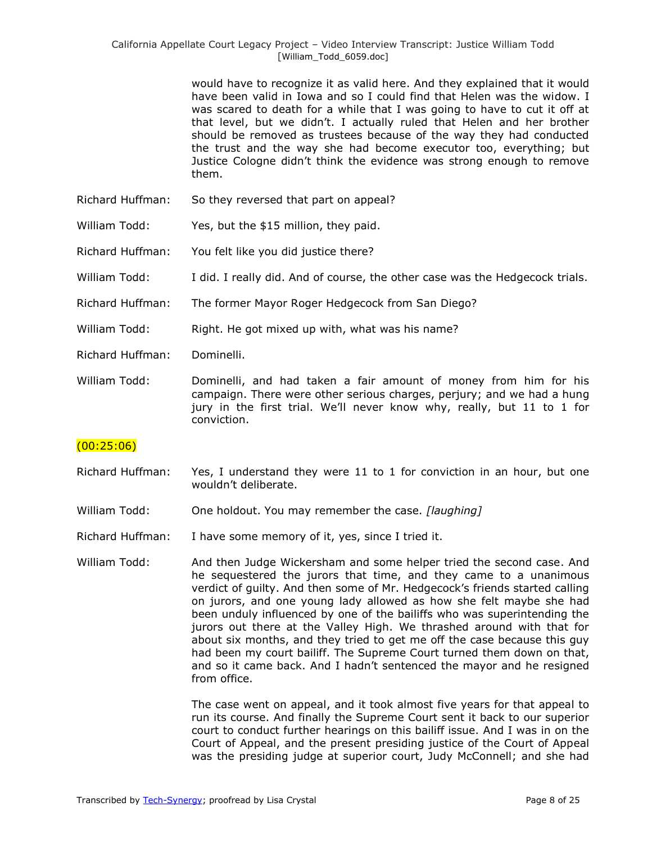would have to recognize it as valid here. And they explained that it would have been valid in Iowa and so I could find that Helen was the widow. I was scared to death for a while that I was going to have to cut it off at that level, but we didn't. I actually ruled that Helen and her brother should be removed as trustees because of the way they had conducted the trust and the way she had become executor too, everything; but Justice Cologne didn't think the evidence was strong enough to remove them.

- Richard Huffman: So they reversed that part on appeal?
- William Todd: Yes, but the \$15 million, they paid.
- Richard Huffman: You felt like you did justice there?
- William Todd: I did. I really did. And of course, the other case was the Hedgecock trials.
- Richard Huffman: The former Mayor Roger Hedgecock from San Diego?
- William Todd: Right. He got mixed up with, what was his name?
- Richard Huffman: Dominelli.
- William Todd: Dominelli, and had taken a fair amount of money from him for his campaign. There were other serious charges, perjury; and we had a hung jury in the first trial. We'll never know why, really, but 11 to 1 for conviction.

### $(00:25:06)$

- Richard Huffman: Yes, I understand they were 11 to 1 for conviction in an hour, but one wouldn't deliberate.
- William Todd: One holdout. You may remember the case. *[laughing]*
- Richard Huffman: I have some memory of it, yes, since I tried it.

William Todd: And then Judge Wickersham and some helper tried the second case. And he sequestered the jurors that time, and they came to a unanimous verdict of guilty. And then some of Mr. Hedgecock's friends started calling on jurors, and one young lady allowed as how she felt maybe she had been unduly influenced by one of the bailiffs who was superintending the jurors out there at the Valley High. We thrashed around with that for about six months, and they tried to get me off the case because this guy had been my court bailiff. The Supreme Court turned them down on that, and so it came back. And I hadn't sentenced the mayor and he resigned from office.

> The case went on appeal, and it took almost five years for that appeal to run its course. And finally the Supreme Court sent it back to our superior court to conduct further hearings on this bailiff issue. And I was in on the Court of Appeal, and the present presiding justice of the Court of Appeal was the presiding judge at superior court, Judy McConnell; and she had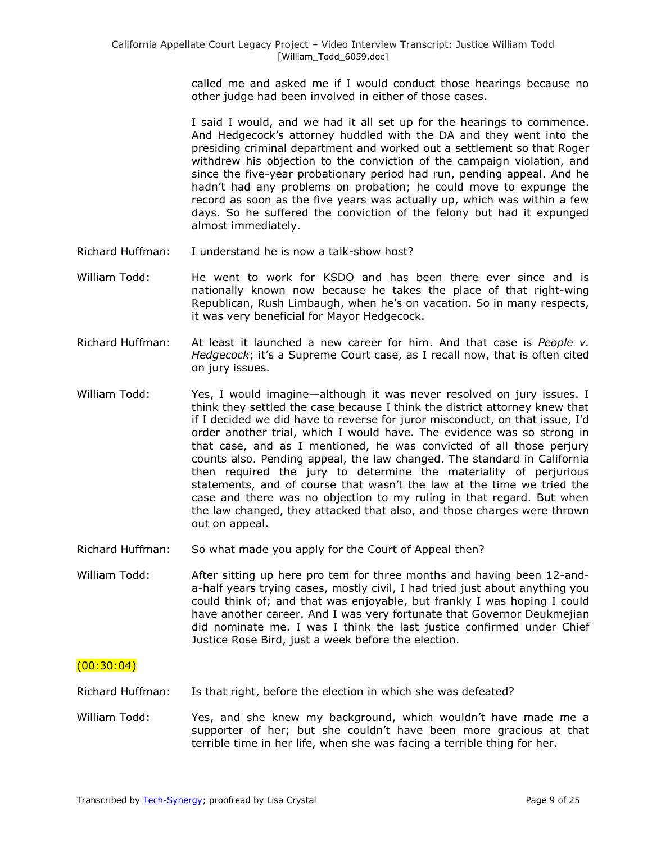called me and asked me if I would conduct those hearings because no other judge had been involved in either of those cases.

I said I would, and we had it all set up for the hearings to commence. And Hedgecock's attorney huddled with the DA and they went into the presiding criminal department and worked out a settlement so that Roger withdrew his objection to the conviction of the campaign violation, and since the five-year probationary period had run, pending appeal. And he hadn't had any problems on probation; he could move to expunge the record as soon as the five years was actually up, which was within a few days. So he suffered the conviction of the felony but had it expunged almost immediately.

- Richard Huffman: I understand he is now a talk-show host?
- William Todd: He went to work for KSDO and has been there ever since and is nationally known now because he takes the place of that right-wing Republican, Rush Limbaugh, when he's on vacation. So in many respects, it was very beneficial for Mayor Hedgecock.
- Richard Huffman: At least it launched a new career for him. And that case is *People v. Hedgecock*; it's a Supreme Court case, as I recall now, that is often cited on jury issues.
- William Todd: Yes, I would imagine—although it was never resolved on jury issues. I think they settled the case because I think the district attorney knew that if I decided we did have to reverse for juror misconduct, on that issue, I'd order another trial, which I would have. The evidence was so strong in that case, and as I mentioned, he was convicted of all those perjury counts also. Pending appeal, the law changed. The standard in California then required the jury to determine the materiality of perjurious statements, and of course that wasn't the law at the time we tried the case and there was no objection to my ruling in that regard. But when the law changed, they attacked that also, and those charges were thrown out on appeal.
- Richard Huffman: So what made you apply for the Court of Appeal then?
- William Todd: After sitting up here pro tem for three months and having been 12-anda-half years trying cases, mostly civil, I had tried just about anything you could think of; and that was enjoyable, but frankly I was hoping I could have another career. And I was very fortunate that Governor Deukmejian did nominate me. I was I think the last justice confirmed under Chief Justice Rose Bird, just a week before the election.

### $(00:30:04)$

Richard Huffman: Is that right, before the election in which she was defeated?

William Todd: Yes, and she knew my background, which wouldn't have made me a supporter of her; but she couldn't have been more gracious at that terrible time in her life, when she was facing a terrible thing for her.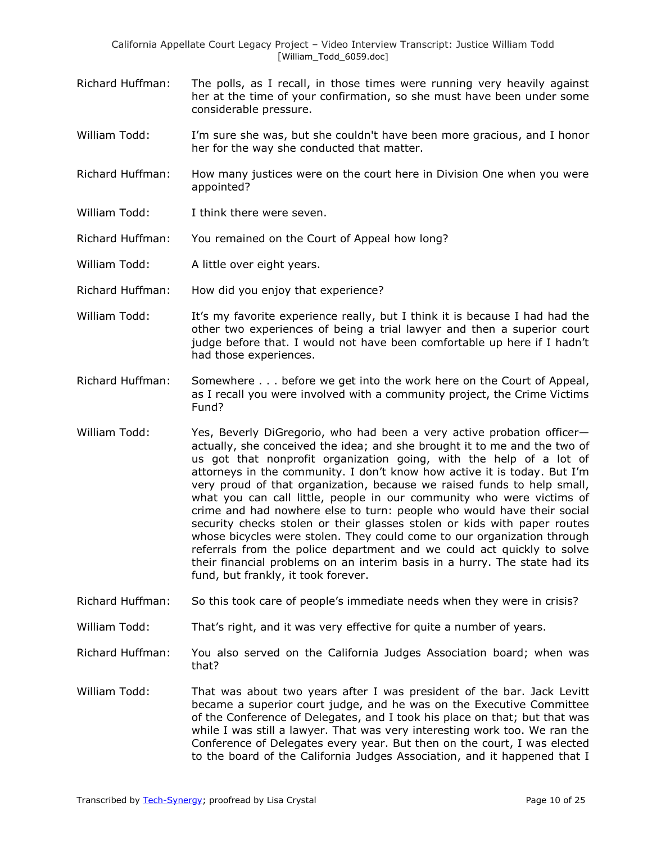California Appellate Court Legacy Project – Video Interview Transcript: Justice William Todd [William\_Todd\_6059.doc]

- Richard Huffman: The polls, as I recall, in those times were running very heavily against her at the time of your confirmation, so she must have been under some considerable pressure.
- William Todd: I'm sure she was, but she couldn't have been more gracious, and I honor her for the way she conducted that matter.
- Richard Huffman: How many justices were on the court here in Division One when you were appointed?
- William Todd: I think there were seven.
- Richard Huffman: You remained on the Court of Appeal how long?
- William Todd: A little over eight years.
- Richard Huffman: How did you enjoy that experience?
- William Todd: It's my favorite experience really, but I think it is because I had had the other two experiences of being a trial lawyer and then a superior court judge before that. I would not have been comfortable up here if I hadn't had those experiences.
- Richard Huffman: Somewhere . . . before we get into the work here on the Court of Appeal, as I recall you were involved with a community project, the Crime Victims Fund?
- William Todd: Yes, Beverly DiGregorio, who had been a very active probation officeractually, she conceived the idea; and she brought it to me and the two of us got that nonprofit organization going, with the help of a lot of attorneys in the community. I don't know how active it is today. But I'm very proud of that organization, because we raised funds to help small, what you can call little, people in our community who were victims of crime and had nowhere else to turn: people who would have their social security checks stolen or their glasses stolen or kids with paper routes whose bicycles were stolen. They could come to our organization through referrals from the police department and we could act quickly to solve their financial problems on an interim basis in a hurry. The state had its fund, but frankly, it took forever.
- Richard Huffman: So this took care of people's immediate needs when they were in crisis?
- William Todd: That's right, and it was very effective for quite a number of years.
- Richard Huffman: You also served on the California Judges Association board; when was that?
- William Todd: That was about two years after I was president of the bar. Jack Levitt became a superior court judge, and he was on the Executive Committee of the Conference of Delegates, and I took his place on that; but that was while I was still a lawyer. That was very interesting work too. We ran the Conference of Delegates every year. But then on the court, I was elected to the board of the California Judges Association, and it happened that I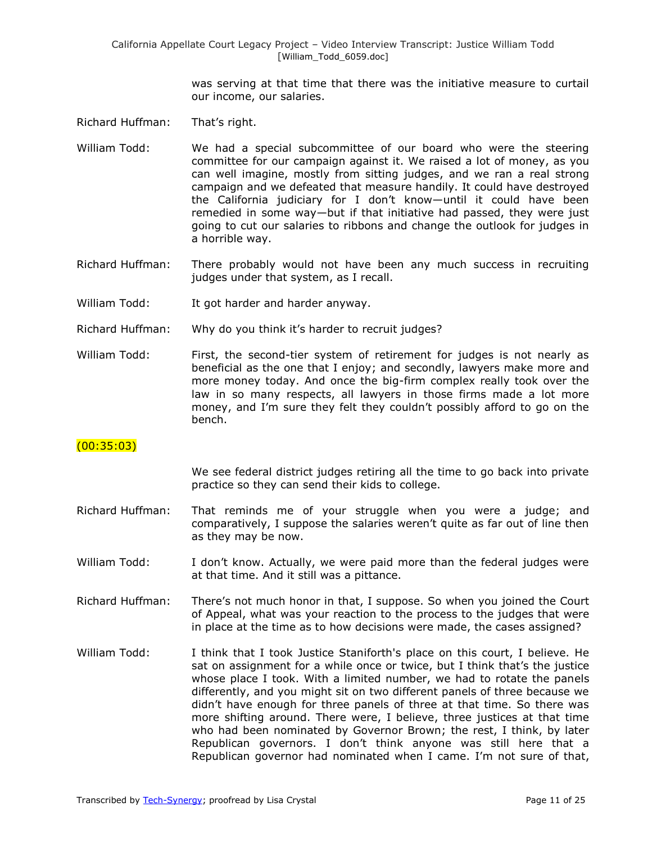was serving at that time that there was the initiative measure to curtail our income, our salaries.

Richard Huffman: That's right.

- William Todd: We had a special subcommittee of our board who were the steering committee for our campaign against it. We raised a lot of money, as you can well imagine, mostly from sitting judges, and we ran a real strong campaign and we defeated that measure handily. It could have destroyed the California judiciary for I don't know—until it could have been remedied in some way—but if that initiative had passed, they were just going to cut our salaries to ribbons and change the outlook for judges in a horrible way.
- Richard Huffman: There probably would not have been any much success in recruiting judges under that system, as I recall.
- William Todd: It got harder and harder anyway.
- Richard Huffman: Why do you think it's harder to recruit judges?
- William Todd: First, the second-tier system of retirement for judges is not nearly as beneficial as the one that I enjoy; and secondly, lawyers make more and more money today. And once the big-firm complex really took over the law in so many respects, all lawyers in those firms made a lot more money, and I'm sure they felt they couldn't possibly afford to go on the bench.

## $(00:35:03)$

We see federal district judges retiring all the time to go back into private practice so they can send their kids to college.

- Richard Huffman: That reminds me of your struggle when you were a judge; and comparatively, I suppose the salaries weren't quite as far out of line then as they may be now.
- William Todd: I don't know. Actually, we were paid more than the federal judges were at that time. And it still was a pittance.
- Richard Huffman: There's not much honor in that, I suppose. So when you joined the Court of Appeal, what was your reaction to the process to the judges that were in place at the time as to how decisions were made, the cases assigned?
- William Todd: I think that I took Justice Staniforth's place on this court, I believe. He sat on assignment for a while once or twice, but I think that's the justice whose place I took. With a limited number, we had to rotate the panels differently, and you might sit on two different panels of three because we didn't have enough for three panels of three at that time. So there was more shifting around. There were, I believe, three justices at that time who had been nominated by Governor Brown; the rest, I think, by later Republican governors. I don't think anyone was still here that a Republican governor had nominated when I came. I'm not sure of that,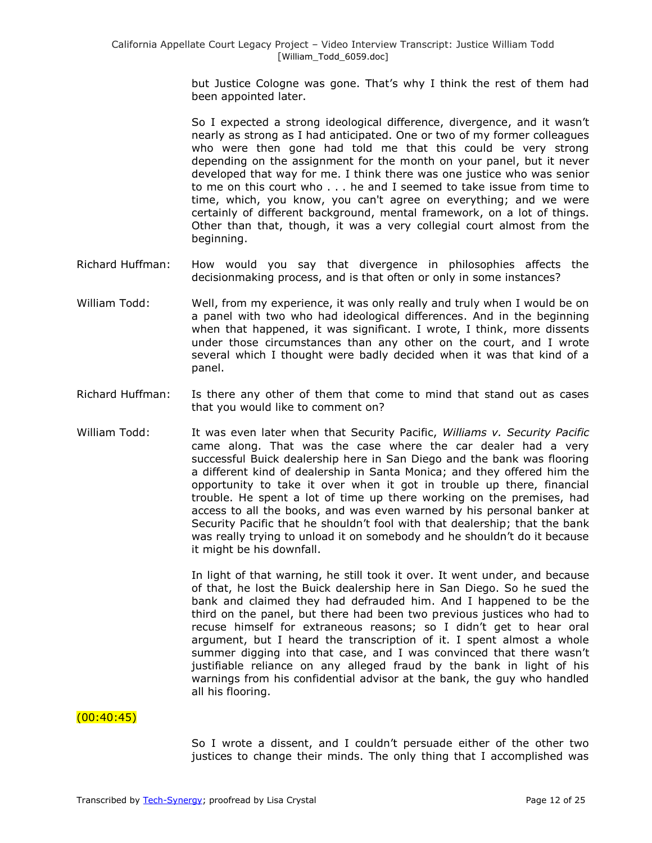but Justice Cologne was gone. That's why I think the rest of them had been appointed later.

So I expected a strong ideological difference, divergence, and it wasn't nearly as strong as I had anticipated. One or two of my former colleagues who were then gone had told me that this could be very strong depending on the assignment for the month on your panel, but it never developed that way for me. I think there was one justice who was senior to me on this court who . . . he and I seemed to take issue from time to time, which, you know, you can't agree on everything; and we were certainly of different background, mental framework, on a lot of things. Other than that, though, it was a very collegial court almost from the beginning.

- Richard Huffman: How would you say that divergence in philosophies affects the decisionmaking process, and is that often or only in some instances?
- William Todd: Well, from my experience, it was only really and truly when I would be on a panel with two who had ideological differences. And in the beginning when that happened, it was significant. I wrote, I think, more dissents under those circumstances than any other on the court, and I wrote several which I thought were badly decided when it was that kind of a panel.
- Richard Huffman: Is there any other of them that come to mind that stand out as cases that you would like to comment on?
- William Todd: It was even later when that Security Pacific, *Williams v. Security Pacific* came along. That was the case where the car dealer had a very successful Buick dealership here in San Diego and the bank was flooring a different kind of dealership in Santa Monica; and they offered him the opportunity to take it over when it got in trouble up there, financial trouble. He spent a lot of time up there working on the premises, had access to all the books, and was even warned by his personal banker at Security Pacific that he shouldn't fool with that dealership; that the bank was really trying to unload it on somebody and he shouldn't do it because it might be his downfall.

In light of that warning, he still took it over. It went under, and because of that, he lost the Buick dealership here in San Diego. So he sued the bank and claimed they had defrauded him. And I happened to be the third on the panel, but there had been two previous justices who had to recuse himself for extraneous reasons; so I didn't get to hear oral argument, but I heard the transcription of it. I spent almost a whole summer digging into that case, and I was convinced that there wasn't justifiable reliance on any alleged fraud by the bank in light of his warnings from his confidential advisor at the bank, the guy who handled all his flooring.

## $(00:40:45)$

So I wrote a dissent, and I couldn't persuade either of the other two justices to change their minds. The only thing that I accomplished was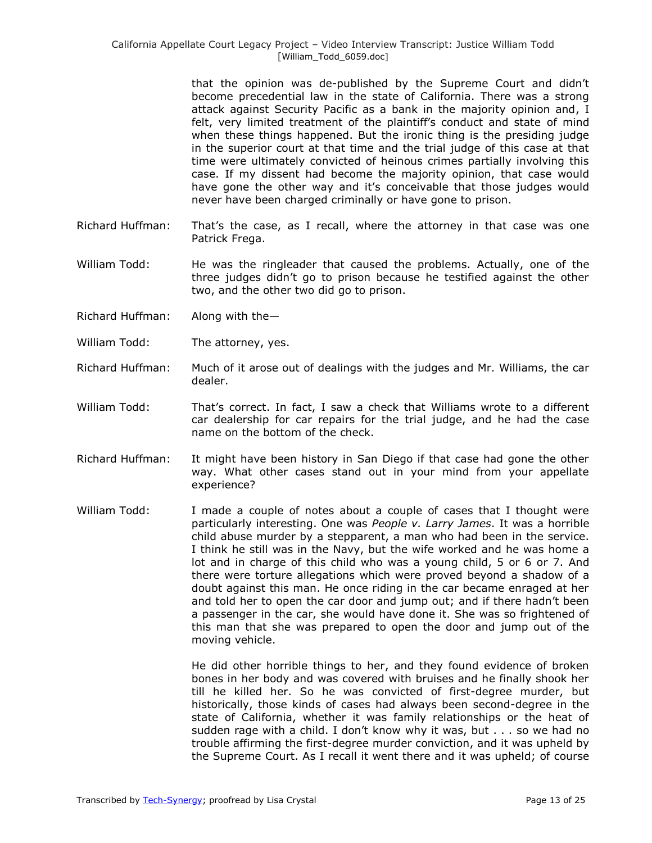that the opinion was de-published by the Supreme Court and didn't become precedential law in the state of California. There was a strong attack against Security Pacific as a bank in the majority opinion and, I felt, very limited treatment of the plaintiff's conduct and state of mind when these things happened. But the ironic thing is the presiding judge in the superior court at that time and the trial judge of this case at that time were ultimately convicted of heinous crimes partially involving this case. If my dissent had become the majority opinion, that case would have gone the other way and it's conceivable that those judges would never have been charged criminally or have gone to prison.

- Richard Huffman: That's the case, as I recall, where the attorney in that case was one Patrick Frega.
- William Todd: He was the ringleader that caused the problems. Actually, one of the three judges didn't go to prison because he testified against the other two, and the other two did go to prison.
- Richard Huffman: Along with the—
- William Todd: The attorney, yes.
- Richard Huffman: Much of it arose out of dealings with the judges and Mr. Williams, the car dealer.
- William Todd: That's correct. In fact, I saw a check that Williams wrote to a different car dealership for car repairs for the trial judge, and he had the case name on the bottom of the check.
- Richard Huffman: It might have been history in San Diego if that case had gone the other way. What other cases stand out in your mind from your appellate experience?
- William Todd: I made a couple of notes about a couple of cases that I thought were particularly interesting. One was *People v. Larry James*. It was a horrible child abuse murder by a stepparent, a man who had been in the service. I think he still was in the Navy, but the wife worked and he was home a lot and in charge of this child who was a young child, 5 or 6 or 7. And there were torture allegations which were proved beyond a shadow of a doubt against this man. He once riding in the car became enraged at her and told her to open the car door and jump out; and if there hadn't been a passenger in the car, she would have done it. She was so frightened of this man that she was prepared to open the door and jump out of the moving vehicle.

He did other horrible things to her, and they found evidence of broken bones in her body and was covered with bruises and he finally shook her till he killed her. So he was convicted of first-degree murder, but historically, those kinds of cases had always been second-degree in the state of California, whether it was family relationships or the heat of sudden rage with a child. I don't know why it was, but . . . so we had no trouble affirming the first-degree murder conviction, and it was upheld by the Supreme Court. As I recall it went there and it was upheld; of course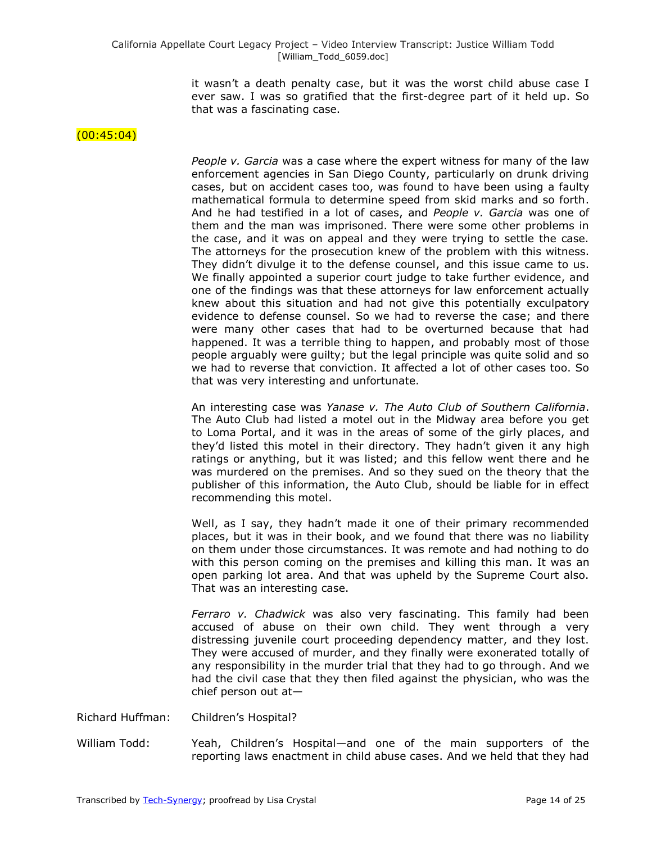it wasn't a death penalty case, but it was the worst child abuse case I ever saw. I was so gratified that the first-degree part of it held up. So that was a fascinating case.

#### $(00:45:04)$

*People v. Garcia* was a case where the expert witness for many of the law enforcement agencies in San Diego County, particularly on drunk driving cases, but on accident cases too, was found to have been using a faulty mathematical formula to determine speed from skid marks and so forth. And he had testified in a lot of cases, and *People v. Garcia* was one of them and the man was imprisoned. There were some other problems in the case, and it was on appeal and they were trying to settle the case. The attorneys for the prosecution knew of the problem with this witness. They didn't divulge it to the defense counsel, and this issue came to us. We finally appointed a superior court judge to take further evidence, and one of the findings was that these attorneys for law enforcement actually knew about this situation and had not give this potentially exculpatory evidence to defense counsel. So we had to reverse the case; and there were many other cases that had to be overturned because that had happened. It was a terrible thing to happen, and probably most of those people arguably were guilty; but the legal principle was quite solid and so we had to reverse that conviction. It affected a lot of other cases too. So that was very interesting and unfortunate.

An interesting case was *Yanase v. The Auto Club of Southern California*. The Auto Club had listed a motel out in the Midway area before you get to Loma Portal, and it was in the areas of some of the girly places, and they'd listed this motel in their directory. They hadn't given it any high ratings or anything, but it was listed; and this fellow went there and he was murdered on the premises. And so they sued on the theory that the publisher of this information, the Auto Club, should be liable for in effect recommending this motel.

Well, as I say, they hadn't made it one of their primary recommended places, but it was in their book, and we found that there was no liability on them under those circumstances. It was remote and had nothing to do with this person coming on the premises and killing this man. It was an open parking lot area. And that was upheld by the Supreme Court also. That was an interesting case.

*Ferraro v. Chadwick* was also very fascinating. This family had been accused of abuse on their own child. They went through a very distressing juvenile court proceeding dependency matter, and they lost. They were accused of murder, and they finally were exonerated totally of any responsibility in the murder trial that they had to go through. And we had the civil case that they then filed against the physician, who was the chief person out at—

- Richard Huffman: Children's Hospital?
- William Todd: Yeah, Children's Hospital—and one of the main supporters of the reporting laws enactment in child abuse cases. And we held that they had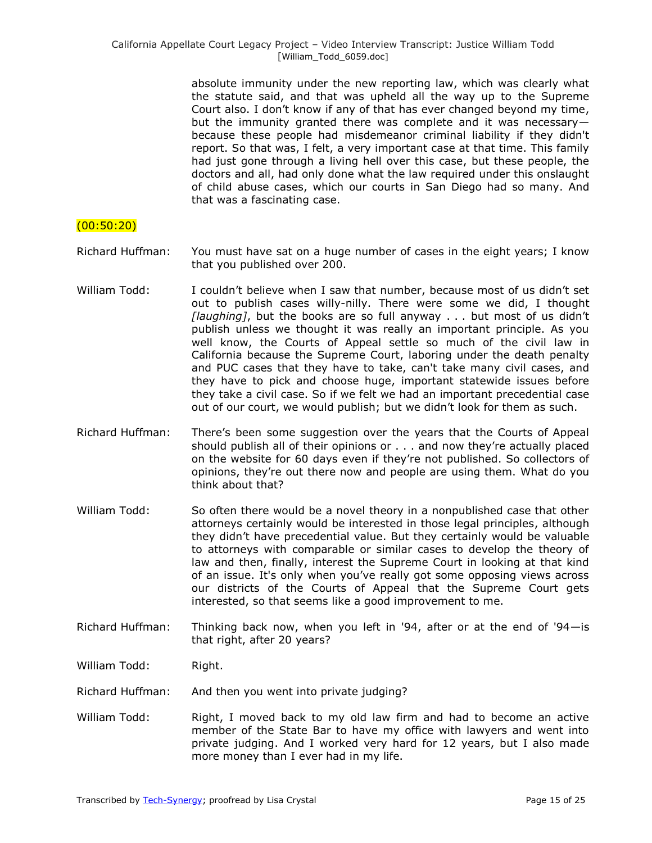absolute immunity under the new reporting law, which was clearly what the statute said, and that was upheld all the way up to the Supreme Court also. I don't know if any of that has ever changed beyond my time, but the immunity granted there was complete and it was necessary because these people had misdemeanor criminal liability if they didn't report. So that was, I felt, a very important case at that time. This family had just gone through a living hell over this case, but these people, the doctors and all, had only done what the law required under this onslaught of child abuse cases, which our courts in San Diego had so many. And that was a fascinating case.

## (00:50:20)

- Richard Huffman: You must have sat on a huge number of cases in the eight years; I know that you published over 200.
- William Todd: I couldn't believe when I saw that number, because most of us didn't set out to publish cases willy-nilly. There were some we did, I thought *[laughing]*, but the books are so full anyway . . . but most of us didn't publish unless we thought it was really an important principle. As you well know, the Courts of Appeal settle so much of the civil law in California because the Supreme Court, laboring under the death penalty and PUC cases that they have to take, can't take many civil cases, and they have to pick and choose huge, important statewide issues before they take a civil case. So if we felt we had an important precedential case out of our court, we would publish; but we didn't look for them as such.
- Richard Huffman: There's been some suggestion over the years that the Courts of Appeal should publish all of their opinions or . . . and now they're actually placed on the website for 60 days even if they're not published. So collectors of opinions, they're out there now and people are using them. What do you think about that?
- William Todd: So often there would be a novel theory in a nonpublished case that other attorneys certainly would be interested in those legal principles, although they didn't have precedential value. But they certainly would be valuable to attorneys with comparable or similar cases to develop the theory of law and then, finally, interest the Supreme Court in looking at that kind of an issue. It's only when you've really got some opposing views across our districts of the Courts of Appeal that the Supreme Court gets interested, so that seems like a good improvement to me.
- Richard Huffman: Thinking back now, when you left in '94, after or at the end of '94—is that right, after 20 years?

William Todd: Right.

Richard Huffman: And then you went into private judging?

William Todd: Right, I moved back to my old law firm and had to become an active member of the State Bar to have my office with lawyers and went into private judging. And I worked very hard for 12 years, but I also made more money than I ever had in my life.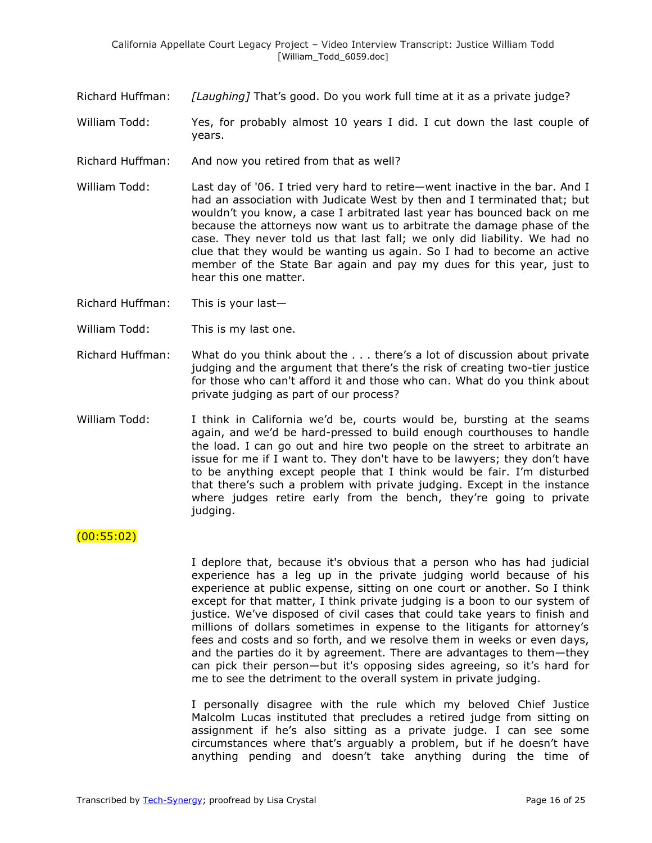Richard Huffman: *[Laughing]* That's good. Do you work full time at it as a private judge?

William Todd: Yes, for probably almost 10 years I did. I cut down the last couple of years.

- Richard Huffman: And now you retired from that as well?
- William Todd: Last day of '06. I tried very hard to retire—went inactive in the bar. And I had an association with Judicate West by then and I terminated that; but wouldn't you know, a case I arbitrated last year has bounced back on me because the attorneys now want us to arbitrate the damage phase of the case. They never told us that last fall; we only did liability. We had no clue that they would be wanting us again. So I had to become an active member of the State Bar again and pay my dues for this year, just to hear this one matter.
- Richard Huffman: This is your last—
- William Todd: This is my last one.
- Richard Huffman: What do you think about the . . . there's a lot of discussion about private judging and the argument that there's the risk of creating two-tier justice for those who can't afford it and those who can. What do you think about private judging as part of our process?
- William Todd: I think in California we'd be, courts would be, bursting at the seams again, and we'd be hard-pressed to build enough courthouses to handle the load. I can go out and hire two people on the street to arbitrate an issue for me if I want to. They don't have to be lawyers; they don't have to be anything except people that I think would be fair. I'm disturbed that there's such a problem with private judging. Except in the instance where judges retire early from the bench, they're going to private judging.

### (00:55:02)

I deplore that, because it's obvious that a person who has had judicial experience has a leg up in the private judging world because of his experience at public expense, sitting on one court or another. So I think except for that matter, I think private judging is a boon to our system of justice. We've disposed of civil cases that could take years to finish and millions of dollars sometimes in expense to the litigants for attorney's fees and costs and so forth, and we resolve them in weeks or even days, and the parties do it by agreement. There are advantages to them—they can pick their person—but it's opposing sides agreeing, so it's hard for me to see the detriment to the overall system in private judging.

I personally disagree with the rule which my beloved Chief Justice Malcolm Lucas instituted that precludes a retired judge from sitting on assignment if he's also sitting as a private judge. I can see some circumstances where that's arguably a problem, but if he doesn't have anything pending and doesn't take anything during the time of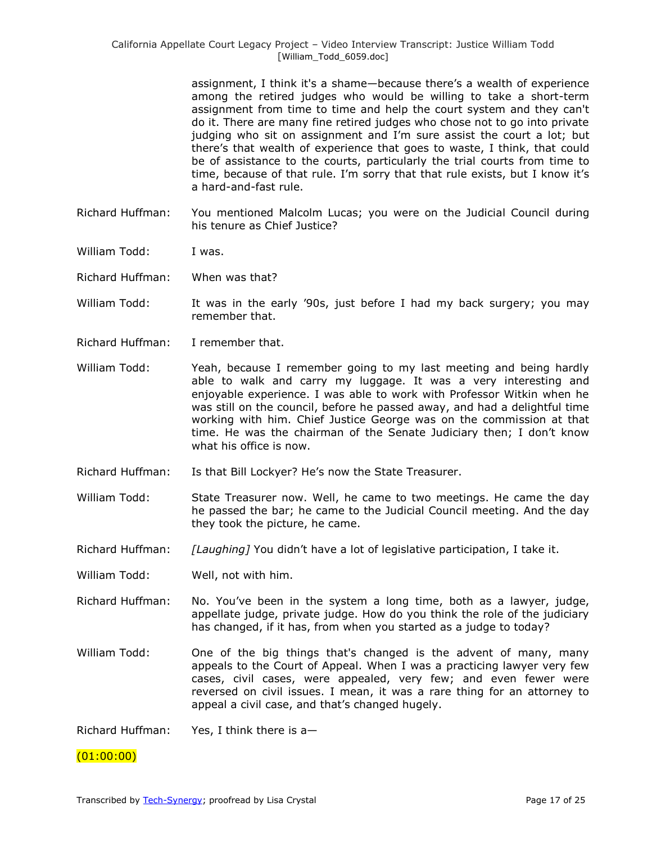assignment, I think it's a shame—because there's a wealth of experience among the retired judges who would be willing to take a short-term assignment from time to time and help the court system and they can't do it. There are many fine retired judges who chose not to go into private judging who sit on assignment and I'm sure assist the court a lot; but there's that wealth of experience that goes to waste, I think, that could be of assistance to the courts, particularly the trial courts from time to time, because of that rule. I'm sorry that that rule exists, but I know it's a hard-and-fast rule.

- Richard Huffman: You mentioned Malcolm Lucas; you were on the Judicial Council during his tenure as Chief Justice?
- William Todd: I was.
- Richard Huffman: When was that?
- William Todd: It was in the early '90s, just before I had my back surgery; you may remember that.
- Richard Huffman: I remember that.
- William Todd: Yeah, because I remember going to my last meeting and being hardly able to walk and carry my luggage. It was a very interesting and enjoyable experience. I was able to work with Professor Witkin when he was still on the council, before he passed away, and had a delightful time working with him. Chief Justice George was on the commission at that time. He was the chairman of the Senate Judiciary then; I don't know what his office is now.
- Richard Huffman: Is that Bill Lockyer? He's now the State Treasurer.
- William Todd: State Treasurer now. Well, he came to two meetings. He came the day he passed the bar; he came to the Judicial Council meeting. And the day they took the picture, he came.
- Richard Huffman: *[Laughing]* You didn't have a lot of legislative participation, I take it.

William Todd: Well, not with him.

- Richard Huffman: No. You've been in the system a long time, both as a lawyer, judge, appellate judge, private judge. How do you think the role of the judiciary has changed, if it has, from when you started as a judge to today?
- William Todd: One of the big things that's changed is the advent of many, many appeals to the Court of Appeal. When I was a practicing lawyer very few cases, civil cases, were appealed, very few; and even fewer were reversed on civil issues. I mean, it was a rare thing for an attorney to appeal a civil case, and that's changed hugely.
- Richard Huffman: Yes, I think there is a—

### $(01:00:00)$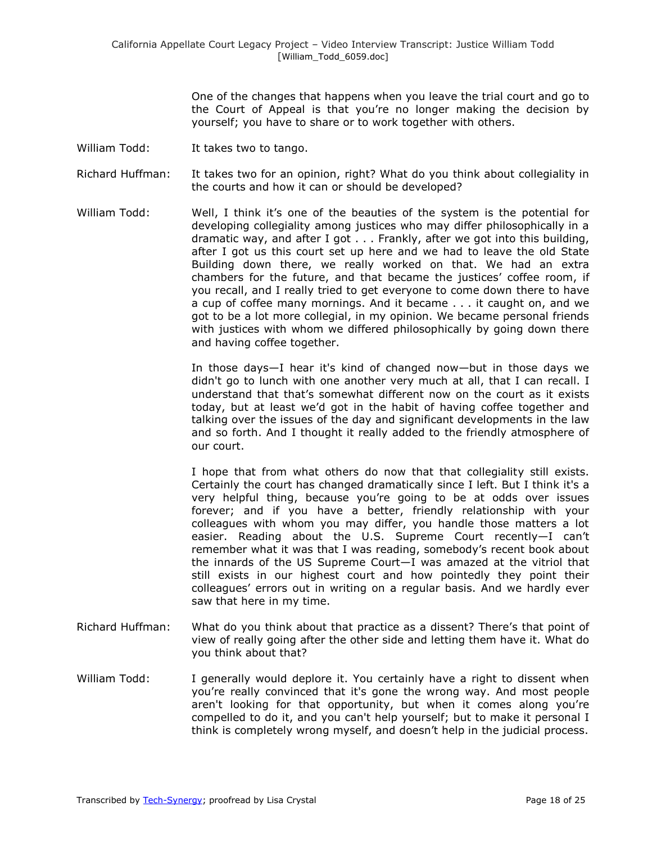One of the changes that happens when you leave the trial court and go to the Court of Appeal is that you're no longer making the decision by yourself; you have to share or to work together with others.

- William Todd: It takes two to tango.
- Richard Huffman: It takes two for an opinion, right? What do you think about collegiality in the courts and how it can or should be developed?
- William Todd: Well, I think it's one of the beauties of the system is the potential for developing collegiality among justices who may differ philosophically in a dramatic way, and after I got . . . Frankly, after we got into this building, after I got us this court set up here and we had to leave the old State Building down there, we really worked on that. We had an extra chambers for the future, and that became the justices' coffee room, if you recall, and I really tried to get everyone to come down there to have a cup of coffee many mornings. And it became . . . it caught on, and we got to be a lot more collegial, in my opinion. We became personal friends with justices with whom we differed philosophically by going down there and having coffee together.

In those days—I hear it's kind of changed now—but in those days we didn't go to lunch with one another very much at all, that I can recall. I understand that that's somewhat different now on the court as it exists today, but at least we'd got in the habit of having coffee together and talking over the issues of the day and significant developments in the law and so forth. And I thought it really added to the friendly atmosphere of our court.

I hope that from what others do now that that collegiality still exists. Certainly the court has changed dramatically since I left. But I think it's a very helpful thing, because you're going to be at odds over issues forever; and if you have a better, friendly relationship with your colleagues with whom you may differ, you handle those matters a lot easier. Reading about the U.S. Supreme Court recently—I can't remember what it was that I was reading, somebody's recent book about the innards of the US Supreme Court—I was amazed at the vitriol that still exists in our highest court and how pointedly they point their colleagues' errors out in writing on a regular basis. And we hardly ever saw that here in my time.

- Richard Huffman: What do you think about that practice as a dissent? There's that point of view of really going after the other side and letting them have it. What do you think about that?
- William Todd: I generally would deplore it. You certainly have a right to dissent when you're really convinced that it's gone the wrong way. And most people aren't looking for that opportunity, but when it comes along you're compelled to do it, and you can't help yourself; but to make it personal I think is completely wrong myself, and doesn't help in the judicial process.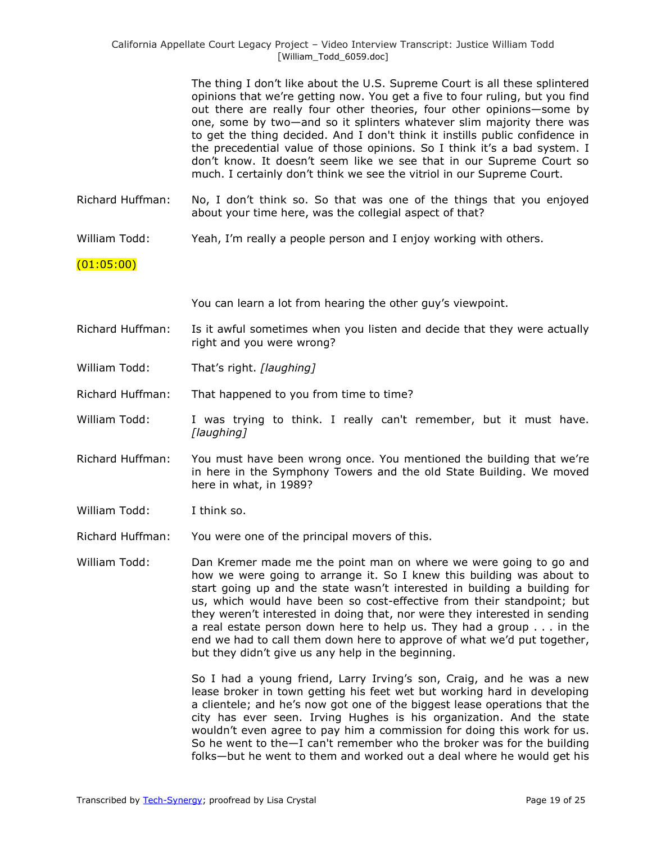California Appellate Court Legacy Project – Video Interview Transcript: Justice William Todd [William\_Todd\_6059.doc]

> The thing I don't like about the U.S. Supreme Court is all these splintered opinions that we're getting now. You get a five to four ruling, but you find out there are really four other theories, four other opinions—some by one, some by two—and so it splinters whatever slim majority there was to get the thing decided. And I don't think it instills public confidence in the precedential value of those opinions. So I think it's a bad system. I don't know. It doesn't seem like we see that in our Supreme Court so much. I certainly don't think we see the vitriol in our Supreme Court.

- Richard Huffman: No, I don't think so. So that was one of the things that you enjoyed about your time here, was the collegial aspect of that?
- William Todd: Yeah, I'm really a people person and I enjoy working with others.

#### (01:05:00)

You can learn a lot from hearing the other guy's viewpoint.

- Richard Huffman: Is it awful sometimes when you listen and decide that they were actually right and you were wrong?
- William Todd: That's right. *[laughing]*

Richard Huffman: That happened to you from time to time?

- William Todd: I was trying to think. I really can't remember, but it must have. *[laughing]*
- Richard Huffman: You must have been wrong once. You mentioned the building that we're in here in the Symphony Towers and the old State Building. We moved here in what, in 1989?
- William Todd: I think so.

Richard Huffman: You were one of the principal movers of this.

William Todd: Dan Kremer made me the point man on where we were going to go and how we were going to arrange it. So I knew this building was about to start going up and the state wasn't interested in building a building for us, which would have been so cost-effective from their standpoint; but they weren't interested in doing that, nor were they interested in sending a real estate person down here to help us. They had a group . . . in the end we had to call them down here to approve of what we'd put together, but they didn't give us any help in the beginning.

> So I had a young friend, Larry Irving's son, Craig, and he was a new lease broker in town getting his feet wet but working hard in developing a clientele; and he's now got one of the biggest lease operations that the city has ever seen. Irving Hughes is his organization. And the state wouldn't even agree to pay him a commission for doing this work for us. So he went to the—I can't remember who the broker was for the building folks—but he went to them and worked out a deal where he would get his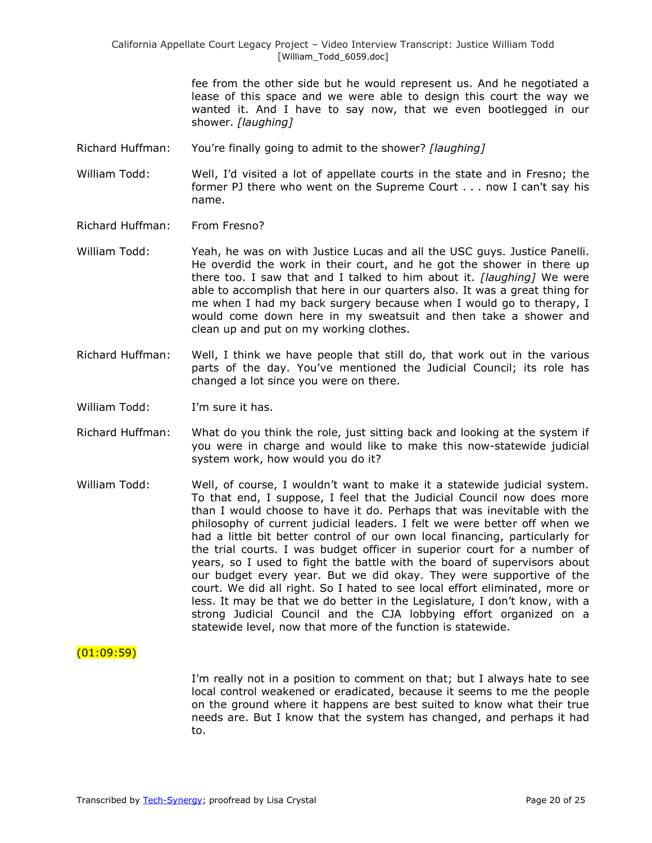fee from the other side but he would represent us. And he negotiated a lease of this space and we were able to design this court the way we wanted it. And I have to say now, that we even bootlegged in our shower. *[laughing]*

Richard Huffman: You're finally going to admit to the shower? *[laughing]*

William Todd: Well, I'd visited a lot of appellate courts in the state and in Fresno; the former PJ there who went on the Supreme Court . . . now I can't say his name.

- Richard Huffman: From Fresno?
- William Todd: Yeah, he was on with Justice Lucas and all the USC guys. Justice Panelli. He overdid the work in their court, and he got the shower in there up there too. I saw that and I talked to him about it. *[laughing]* We were able to accomplish that here in our quarters also. It was a great thing for me when I had my back surgery because when I would go to therapy, I would come down here in my sweatsuit and then take a shower and clean up and put on my working clothes.
- Richard Huffman: Well, I think we have people that still do, that work out in the various parts of the day. You've mentioned the Judicial Council; its role has changed a lot since you were on there.
- William Todd: I'm sure it has.
- Richard Huffman: What do you think the role, just sitting back and looking at the system if you were in charge and would like to make this now-statewide judicial system work, how would you do it?
- William Todd: Well, of course, I wouldn't want to make it a statewide judicial system. To that end, I suppose, I feel that the Judicial Council now does more than I would choose to have it do. Perhaps that was inevitable with the philosophy of current judicial leaders. I felt we were better off when we had a little bit better control of our own local financing, particularly for the trial courts. I was budget officer in superior court for a number of years, so I used to fight the battle with the board of supervisors about our budget every year. But we did okay. They were supportive of the court. We did all right. So I hated to see local effort eliminated, more or less. It may be that we do better in the Legislature, I don't know, with a strong Judicial Council and the CJA lobbying effort organized on a statewide level, now that more of the function is statewide.

### $(01:09:59)$

I'm really not in a position to comment on that; but I always hate to see local control weakened or eradicated, because it seems to me the people on the ground where it happens are best suited to know what their true needs are. But I know that the system has changed, and perhaps it had to.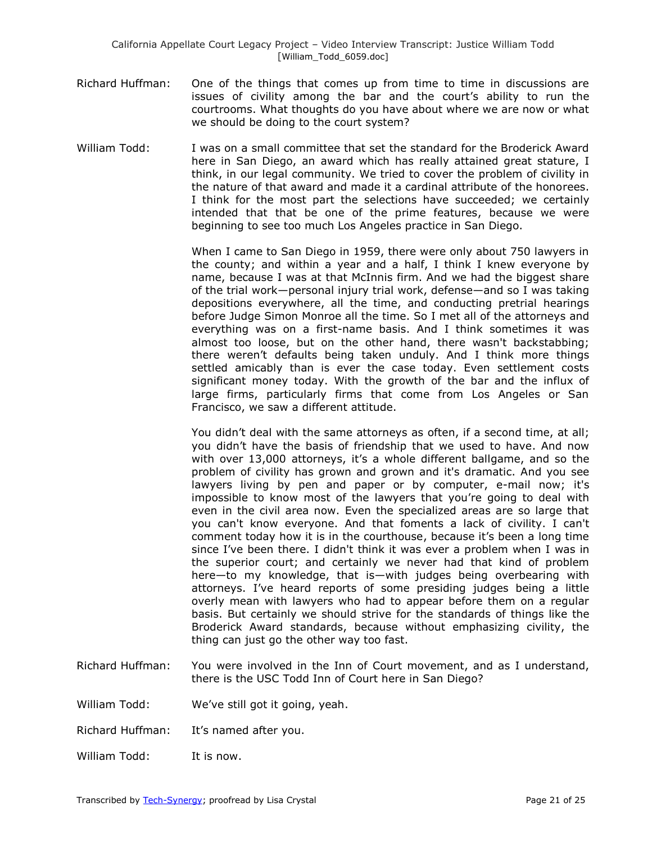- Richard Huffman: One of the things that comes up from time to time in discussions are issues of civility among the bar and the court's ability to run the courtrooms. What thoughts do you have about where we are now or what we should be doing to the court system?
- William Todd: I was on a small committee that set the standard for the Broderick Award here in San Diego, an award which has really attained great stature, I think, in our legal community. We tried to cover the problem of civility in the nature of that award and made it a cardinal attribute of the honorees. I think for the most part the selections have succeeded; we certainly intended that that be one of the prime features, because we were beginning to see too much Los Angeles practice in San Diego.

When I came to San Diego in 1959, there were only about 750 lawyers in the county; and within a year and a half, I think I knew everyone by name, because I was at that McInnis firm. And we had the biggest share of the trial work—personal injury trial work, defense—and so I was taking depositions everywhere, all the time, and conducting pretrial hearings before Judge Simon Monroe all the time. So I met all of the attorneys and everything was on a first-name basis. And I think sometimes it was almost too loose, but on the other hand, there wasn't backstabbing; there weren't defaults being taken unduly. And I think more things settled amicably than is ever the case today. Even settlement costs significant money today. With the growth of the bar and the influx of large firms, particularly firms that come from Los Angeles or San Francisco, we saw a different attitude.

You didn't deal with the same attorneys as often, if a second time, at all; you didn't have the basis of friendship that we used to have. And now with over 13,000 attorneys, it's a whole different ballgame, and so the problem of civility has grown and grown and it's dramatic. And you see lawyers living by pen and paper or by computer, e-mail now; it's impossible to know most of the lawyers that you're going to deal with even in the civil area now. Even the specialized areas are so large that you can't know everyone. And that foments a lack of civility. I can't comment today how it is in the courthouse, because it's been a long time since I've been there. I didn't think it was ever a problem when I was in the superior court; and certainly we never had that kind of problem here—to my knowledge, that is—with judges being overbearing with attorneys. I've heard reports of some presiding judges being a little overly mean with lawyers who had to appear before them on a regular basis. But certainly we should strive for the standards of things like the Broderick Award standards, because without emphasizing civility, the thing can just go the other way too fast.

- Richard Huffman: You were involved in the Inn of Court movement, and as I understand, there is the USC Todd Inn of Court here in San Diego?
- William Todd: We've still got it going, yeah.
- Richard Huffman: It's named after you.
- William Todd: It is now.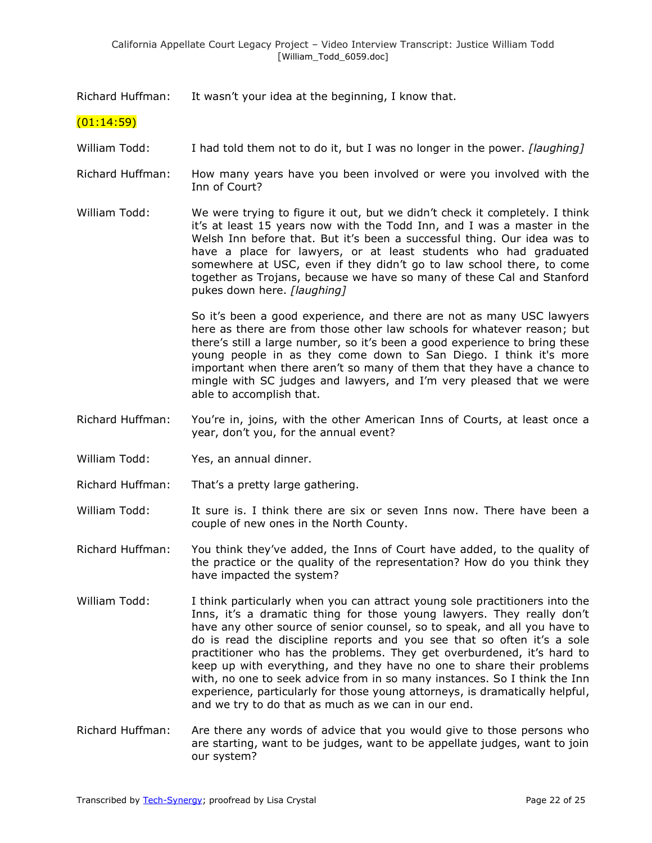Richard Huffman: It wasn't your idea at the beginning, I know that.

### $(01:14:59)$

- William Todd: I had told them not to do it, but I was no longer in the power. *[laughing]*
- Richard Huffman: How many years have you been involved or were you involved with the Inn of Court?

William Todd: We were trying to figure it out, but we didn't check it completely. I think it's at least 15 years now with the Todd Inn, and I was a master in the Welsh Inn before that. But it's been a successful thing. Our idea was to have a place for lawyers, or at least students who had graduated somewhere at USC, even if they didn't go to law school there, to come together as Trojans, because we have so many of these Cal and Stanford pukes down here. *[laughing]*

> So it's been a good experience, and there are not as many USC lawyers here as there are from those other law schools for whatever reason; but there's still a large number, so it's been a good experience to bring these young people in as they come down to San Diego. I think it's more important when there aren't so many of them that they have a chance to mingle with SC judges and lawyers, and I'm very pleased that we were able to accomplish that.

- Richard Huffman: You're in, joins, with the other American Inns of Courts, at least once a year, don't you, for the annual event?
- William Todd: Yes, an annual dinner.
- Richard Huffman: That's a pretty large gathering.
- William Todd: It sure is. I think there are six or seven Inns now. There have been a couple of new ones in the North County.
- Richard Huffman: You think they've added, the Inns of Court have added, to the quality of the practice or the quality of the representation? How do you think they have impacted the system?
- William Todd: I think particularly when you can attract young sole practitioners into the Inns, it's a dramatic thing for those young lawyers. They really don't have any other source of senior counsel, so to speak, and all you have to do is read the discipline reports and you see that so often it's a sole practitioner who has the problems. They get overburdened, it's hard to keep up with everything, and they have no one to share their problems with, no one to seek advice from in so many instances. So I think the Inn experience, particularly for those young attorneys, is dramatically helpful, and we try to do that as much as we can in our end.
- Richard Huffman: Are there any words of advice that you would give to those persons who are starting, want to be judges, want to be appellate judges, want to join our system?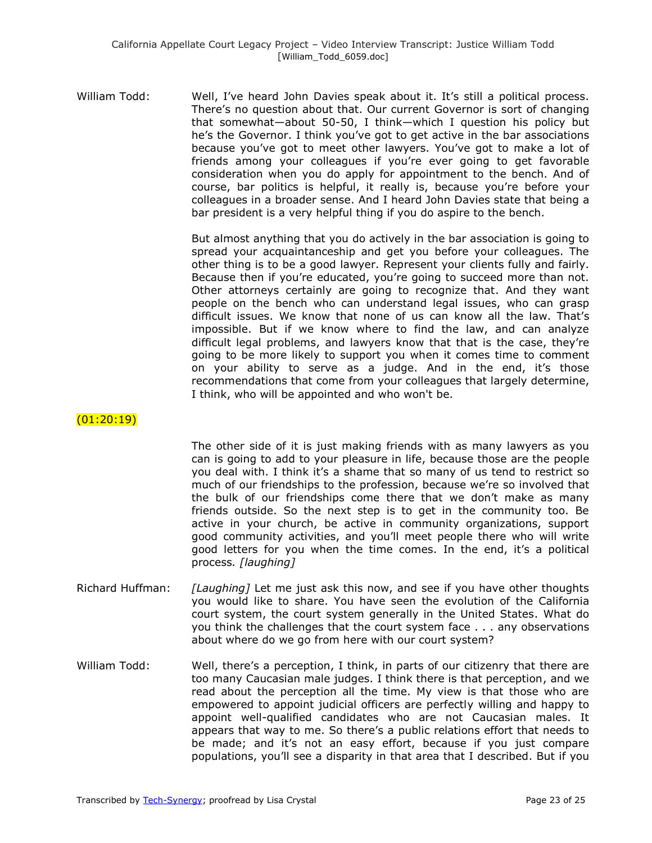William Todd: Well, I've heard John Davies speak about it. It's still a political process. There's no question about that. Our current Governor is sort of changing that somewhat—about 50-50, I think—which I question his policy but he's the Governor. I think you've got to get active in the bar associations because you've got to meet other lawyers. You've got to make a lot of friends among your colleagues if you're ever going to get favorable consideration when you do apply for appointment to the bench. And of course, bar politics is helpful, it really is, because you're before your colleagues in a broader sense. And I heard John Davies state that being a bar president is a very helpful thing if you do aspire to the bench.

> But almost anything that you do actively in the bar association is going to spread your acquaintanceship and get you before your colleagues. The other thing is to be a good lawyer. Represent your clients fully and fairly. Because then if you're educated, you're going to succeed more than not. Other attorneys certainly are going to recognize that. And they want people on the bench who can understand legal issues, who can grasp difficult issues. We know that none of us can know all the law. That's impossible. But if we know where to find the law, and can analyze difficult legal problems, and lawyers know that that is the case, they're going to be more likely to support you when it comes time to comment on your ability to serve as a judge. And in the end, it's those recommendations that come from your colleagues that largely determine, I think, who will be appointed and who won't be.

### (01:20:19)

The other side of it is just making friends with as many lawyers as you can is going to add to your pleasure in life, because those are the people you deal with. I think it's a shame that so many of us tend to restrict so much of our friendships to the profession, because we're so involved that the bulk of our friendships come there that we don't make as many friends outside. So the next step is to get in the community too. Be active in your church, be active in community organizations, support good community activities, and you'll meet people there who will write good letters for you when the time comes. In the end, it's a political process*. [laughing]*

- Richard Huffman: *[Laughing]* Let me just ask this now, and see if you have other thoughts you would like to share. You have seen the evolution of the California court system, the court system generally in the United States. What do you think the challenges that the court system face . . . any observations about where do we go from here with our court system?
- William Todd: Well, there's a perception, I think, in parts of our citizenry that there are too many Caucasian male judges. I think there is that perception, and we read about the perception all the time. My view is that those who are empowered to appoint judicial officers are perfectly willing and happy to appoint well-qualified candidates who are not Caucasian males. It appears that way to me. So there's a public relations effort that needs to be made; and it's not an easy effort, because if you just compare populations, you'll see a disparity in that area that I described. But if you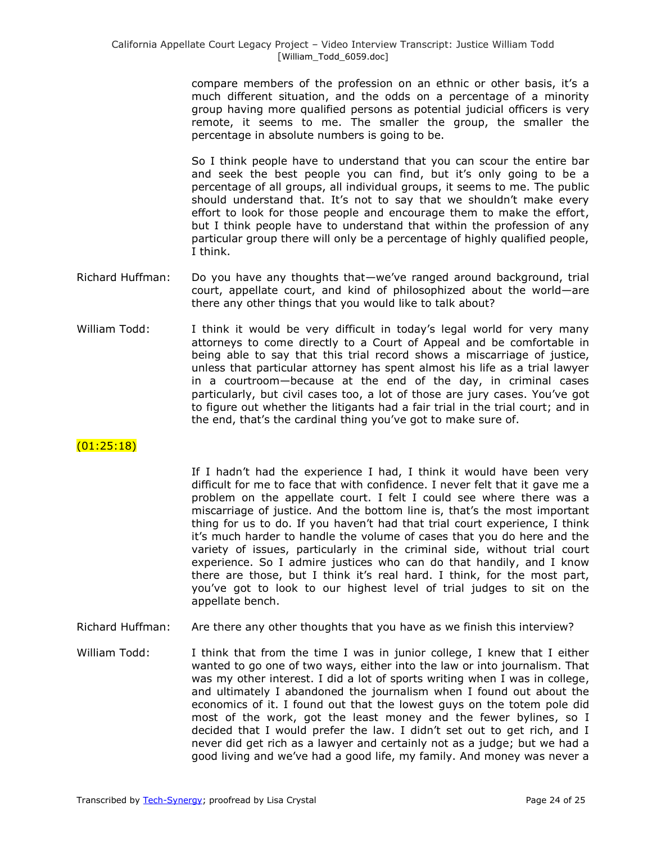compare members of the profession on an ethnic or other basis, it's a much different situation, and the odds on a percentage of a minority group having more qualified persons as potential judicial officers is very remote, it seems to me. The smaller the group, the smaller the percentage in absolute numbers is going to be.

So I think people have to understand that you can scour the entire bar and seek the best people you can find, but it's only going to be a percentage of all groups, all individual groups, it seems to me. The public should understand that. It's not to say that we shouldn't make every effort to look for those people and encourage them to make the effort, but I think people have to understand that within the profession of any particular group there will only be a percentage of highly qualified people, I think.

- Richard Huffman: Do you have any thoughts that—we've ranged around background, trial court, appellate court, and kind of philosophized about the world—are there any other things that you would like to talk about?
- William Todd: I think it would be very difficult in today's legal world for very many attorneys to come directly to a Court of Appeal and be comfortable in being able to say that this trial record shows a miscarriage of justice, unless that particular attorney has spent almost his life as a trial lawyer in a courtroom—because at the end of the day, in criminal cases particularly, but civil cases too, a lot of those are jury cases. You've got to figure out whether the litigants had a fair trial in the trial court; and in the end, that's the cardinal thing you've got to make sure of.

# $(01:25:18)$

If I hadn't had the experience I had, I think it would have been very difficult for me to face that with confidence. I never felt that it gave me a problem on the appellate court. I felt I could see where there was a miscarriage of justice. And the bottom line is, that's the most important thing for us to do. If you haven't had that trial court experience, I think it's much harder to handle the volume of cases that you do here and the variety of issues, particularly in the criminal side, without trial court experience. So I admire justices who can do that handily, and I know there are those, but I think it's real hard. I think, for the most part, you've got to look to our highest level of trial judges to sit on the appellate bench.

- Richard Huffman: Are there any other thoughts that you have as we finish this interview?
- William Todd: I think that from the time I was in junior college, I knew that I either wanted to go one of two ways, either into the law or into journalism. That was my other interest. I did a lot of sports writing when I was in college, and ultimately I abandoned the journalism when I found out about the economics of it. I found out that the lowest guys on the totem pole did most of the work, got the least money and the fewer bylines, so I decided that I would prefer the law. I didn't set out to get rich, and I never did get rich as a lawyer and certainly not as a judge; but we had a good living and we've had a good life, my family. And money was never a